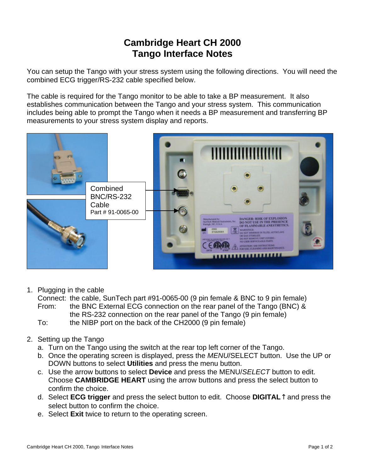## **Cambridge Heart CH 2000 Tango Interface Notes**

You can setup the Tango with your stress system using the following directions. You will need the combined ECG trigger/RS-232 cable specified below.

The cable is required for the Tango monitor to be able to take a BP measurement. It also establishes communication between the Tango and your stress system. This communication includes being able to prompt the Tango when it needs a BP measurement and transferring BP measurements to your stress system display and reports.



1. Plugging in the cable

Connect: the cable, SunTech part #91-0065-00 (9 pin female & BNC to 9 pin female) From: the BNC External ECG connection on the rear panel of the Tango (BNC) & the RS-232 connection on the rear panel of the Tango (9 pin female) To: the NIBP port on the back of the CH2000 (9 pin female)

- 2. Setting up the Tango
	- a. Turn on the Tango using the switch at the rear top left corner of the Tango.
	- b. Once the operating screen is displayed, press the *MENU*/SELECT button. Use the UP or DOWN buttons to select **Utilities** and press the menu button.
	- c. Use the arrow buttons to select **Device** and press the MENU/*SELECT* button to edit. Choose **CAMBRIDGE HEART** using the arrow buttons and press the select button to confirm the choice.
	- d. Select **ECG trigger** and press the select button to edit. Choose **DIGITAL**↑ and press the select button to confirm the choice.
	- e. Select **Exit** twice to return to the operating screen.